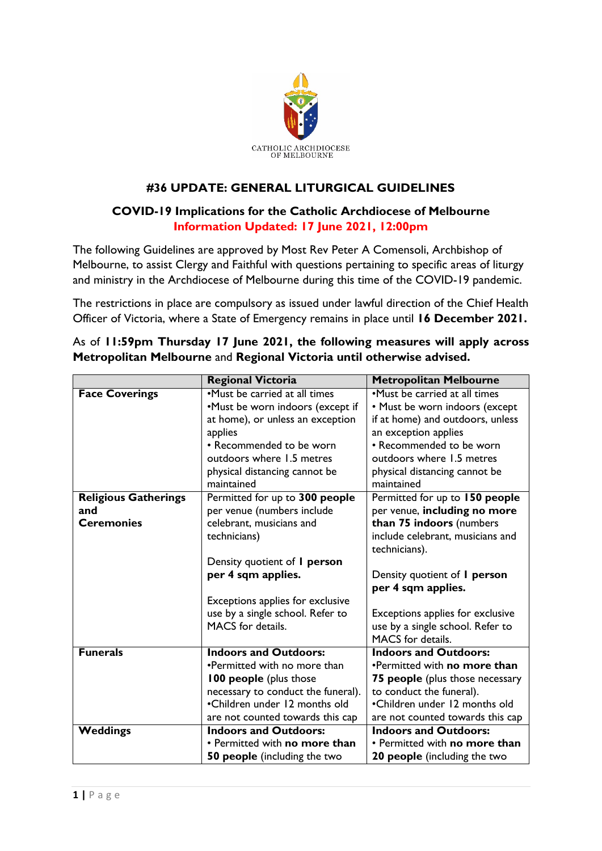

## **#36 UPDATE: GENERAL LITURGICAL GUIDELINES**

## **COVID-19 Implications for the Catholic Archdiocese of Melbourne Information Updated: 17 June 2021, 12:00pm**

The following Guidelines are approved by Most Rev Peter A Comensoli, Archbishop of Melbourne, to assist Clergy and Faithful with questions pertaining to specific areas of liturgy and ministry in the Archdiocese of Melbourne during this time of the COVID-19 pandemic.

The restrictions in place are compulsory as issued under lawful direction of the Chief Health Officer of Victoria, where a State of Emergency remains in place until **16 December 2021.**

|                             | <b>Regional Victoria</b>            | <b>Metropolitan Melbourne</b>          |
|-----------------------------|-------------------------------------|----------------------------------------|
| <b>Face Coverings</b>       | •Must be carried at all times       | •Must be carried at all times          |
|                             | •Must be worn indoors (except if    | • Must be worn indoors (except         |
|                             | at home), or unless an exception    | if at home) and outdoors, unless       |
|                             | applies                             | an exception applies                   |
|                             | • Recommended to be worn            | • Recommended to be worn               |
|                             | outdoors where 1.5 metres           | outdoors where 1.5 metres              |
|                             | physical distancing cannot be       | physical distancing cannot be          |
|                             | maintained                          | maintained                             |
| <b>Religious Gatherings</b> | Permitted for up to 300 people      | Permitted for up to 150 people         |
| and                         | per venue (numbers include          | per venue, including no more           |
| <b>Ceremonies</b>           | celebrant, musicians and            | than 75 indoors (numbers               |
|                             | technicians)                        | include celebrant, musicians and       |
|                             |                                     | technicians).                          |
|                             | Density quotient of <i>I</i> person |                                        |
|                             | per 4 sqm applies.                  | Density quotient of <i>I</i> person    |
|                             |                                     | per 4 sqm applies.                     |
|                             | Exceptions applies for exclusive    |                                        |
|                             | use by a single school. Refer to    | Exceptions applies for exclusive       |
|                             | MACS for details.                   | use by a single school. Refer to       |
|                             |                                     | MACS for details.                      |
| <b>Funerals</b>             | <b>Indoors and Outdoors:</b>        | <b>Indoors and Outdoors:</b>           |
|                             | •Permitted with no more than        | •Permitted with no more than           |
|                             | <b>100 people</b> (plus those       | <b>75 people</b> (plus those necessary |
|                             | necessary to conduct the funeral).  | to conduct the funeral).               |
|                             | •Children under 12 months old       | •Children under 12 months old          |
|                             | are not counted towards this cap    | are not counted towards this cap       |
| Weddings                    | <b>Indoors and Outdoors:</b>        | <b>Indoors and Outdoors:</b>           |
|                             | • Permitted with no more than       | • Permitted with no more than          |
|                             | <b>50 people</b> (including the two | <b>20 people</b> (including the two    |

As of **11:59pm Thursday 17 June 2021, the following measures will apply across Metropolitan Melbourne** and **Regional Victoria until otherwise advised.**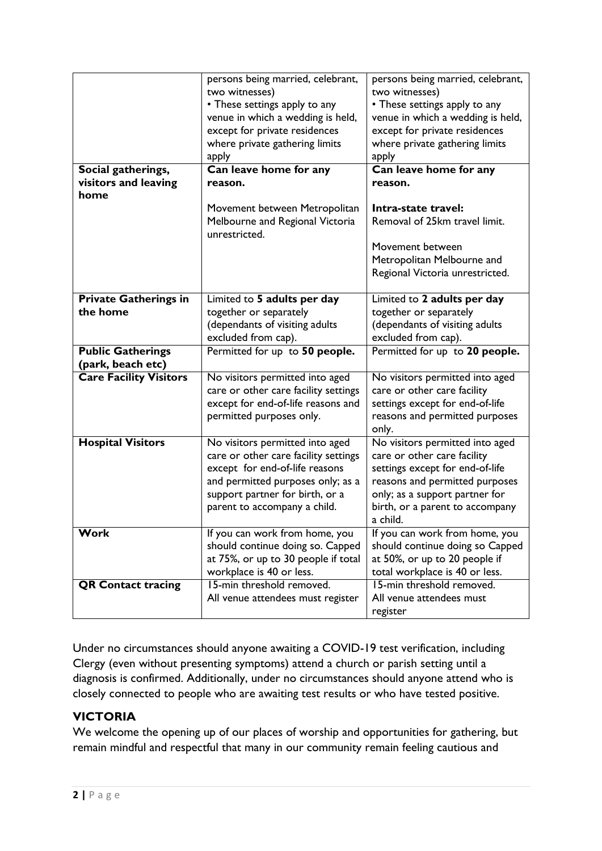|                               | persons being married, celebrant,                | persons being married, celebrant, |
|-------------------------------|--------------------------------------------------|-----------------------------------|
|                               | two witnesses)                                   | two witnesses)                    |
|                               | • These settings apply to any                    | • These settings apply to any     |
|                               | venue in which a wedding is held,                | venue in which a wedding is held, |
|                               | except for private residences                    | except for private residences     |
|                               | where private gathering limits                   | where private gathering limits    |
|                               | apply                                            | apply                             |
| Social gatherings,            | Can leave home for any                           | Can leave home for any            |
| visitors and leaving          | reason.                                          | reason.                           |
| home                          |                                                  |                                   |
|                               | Movement between Metropolitan                    | Intra-state travel:               |
|                               |                                                  | Removal of 25km travel limit.     |
|                               | Melbourne and Regional Victoria<br>unrestricted. |                                   |
|                               |                                                  | Movement between                  |
|                               |                                                  | Metropolitan Melbourne and        |
|                               |                                                  | Regional Victoria unrestricted.   |
|                               |                                                  |                                   |
| <b>Private Gatherings in</b>  | Limited to 5 adults per day                      | Limited to 2 adults per day       |
| the home                      | together or separately                           | together or separately            |
|                               | (dependants of visiting adults                   | (dependants of visiting adults    |
|                               | excluded from cap).                              | excluded from cap).               |
| <b>Public Gatherings</b>      | Permitted for up to 50 people.                   | Permitted for up to 20 people.    |
| (park, beach etc)             |                                                  |                                   |
|                               |                                                  |                                   |
|                               |                                                  |                                   |
| <b>Care Facility Visitors</b> | No visitors permitted into aged                  | No visitors permitted into aged   |
|                               | care or other care facility settings             | care or other care facility       |
|                               | except for end-of-life reasons and               | settings except for end-of-life   |
|                               | permitted purposes only.                         | reasons and permitted purposes    |
|                               |                                                  | only.                             |
| <b>Hospital Visitors</b>      | No visitors permitted into aged                  | No visitors permitted into aged   |
|                               | care or other care facility settings             | care or other care facility       |
|                               | except for end-of-life reasons                   | settings except for end-of-life   |
|                               | and permitted purposes only; as a                | reasons and permitted purposes    |
|                               | support partner for birth, or a                  | only; as a support partner for    |
|                               | parent to accompany a child.                     | birth, or a parent to accompany   |
|                               |                                                  | a child.                          |
| Work                          | If you can work from home, you                   | If you can work from home, you    |
|                               | should continue doing so. Capped                 | should continue doing so Capped   |
|                               | at 75%, or up to 30 people if total              | at 50%, or up to 20 people if     |
|                               | workplace is 40 or less.                         | total workplace is 40 or less.    |
| <b>QR Contact tracing</b>     | 15-min threshold removed.                        | 15-min threshold removed.         |
|                               | All venue attendees must register                | All venue attendees must          |

Under no circumstances should anyone awaiting a COVID-19 test verification, including Clergy (even without presenting symptoms) attend a church or parish setting until a diagnosis is confirmed. Additionally, under no circumstances should anyone attend who is closely connected to people who are awaiting test results or who have tested positive.

## **VICTORIA**

We welcome the opening up of our places of worship and opportunities for gathering, but remain mindful and respectful that many in our community remain feeling cautious and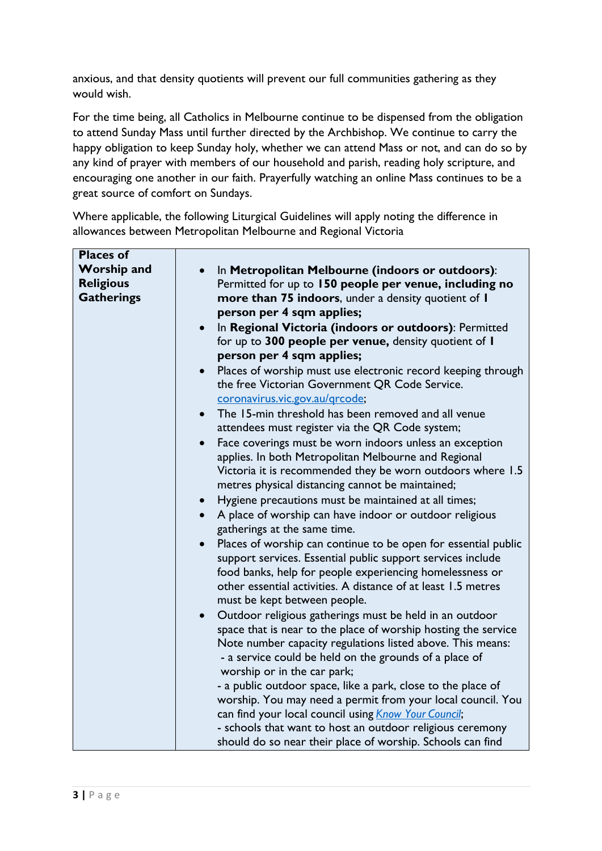anxious, and that density quotients will prevent our full communities gathering as they would wish.

For the time being, all Catholics in Melbourne continue to be dispensed from the obligation to attend Sunday Mass until further directed by the Archbishop. We continue to carry the happy obligation to keep Sunday holy, whether we can attend Mass or not, and can do so by any kind of prayer with members of our household and parish, reading holy scripture, and encouraging one another in our faith. Prayerfully watching an online Mass continues to be a great source of comfort on Sundays.

Where applicable, the following Liturgical Guidelines will apply noting the difference in allowances between Metropolitan Melbourne and Regional Victoria

| <b>Places of</b>   |                                                                      |
|--------------------|----------------------------------------------------------------------|
| <b>Worship and</b> | In Metropolitan Melbourne (indoors or outdoors):                     |
| <b>Religious</b>   | Permitted for up to 150 people per venue, including no               |
| <b>Gatherings</b>  | more than 75 indoors, under a density quotient of I                  |
|                    | person per 4 sqm applies;                                            |
|                    | In Regional Victoria (indoors or outdoors): Permitted                |
|                    | for up to 300 people per venue, density quotient of I                |
|                    | person per 4 sqm applies;                                            |
|                    | Places of worship must use electronic record keeping through         |
|                    | the free Victorian Government QR Code Service.                       |
|                    | coronavirus.vic.gov.au/grcode;                                       |
|                    | The 15-min threshold has been removed and all venue<br>$\bullet$     |
|                    | attendees must register via the QR Code system;                      |
|                    | Face coverings must be worn indoors unless an exception              |
|                    | applies. In both Metropolitan Melbourne and Regional                 |
|                    | Victoria it is recommended they be worn outdoors where 1.5           |
|                    | metres physical distancing cannot be maintained;                     |
|                    | Hygiene precautions must be maintained at all times;<br>$\bullet$    |
|                    | A place of worship can have indoor or outdoor religious<br>$\bullet$ |
|                    | gatherings at the same time.                                         |
|                    | Places of worship can continue to be open for essential public       |
|                    | support services. Essential public support services include          |
|                    | food banks, help for people experiencing homelessness or             |
|                    | other essential activities. A distance of at least 1.5 metres        |
|                    | must be kept between people.                                         |
|                    | Outdoor religious gatherings must be held in an outdoor              |
|                    | space that is near to the place of worship hosting the service       |
|                    | Note number capacity regulations listed above. This means:           |
|                    | - a service could be held on the grounds of a place of               |
|                    | worship or in the car park;                                          |
|                    | - a public outdoor space, like a park, close to the place of         |
|                    | worship. You may need a permit from your local council. You          |
|                    | can find your local council using Know Your Council;                 |
|                    | - schools that want to host an outdoor religious ceremony            |
|                    | should do so near their place of worship. Schools can find           |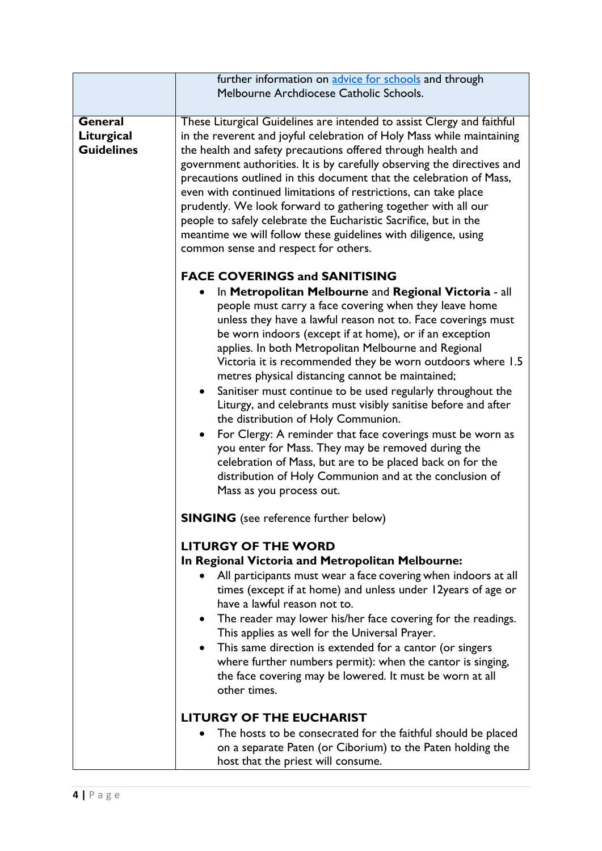|                                                   | further information on advice for schools and through                                                                                                                                                                                                                                                                                                                                                                                                                                                                                                                                                                                                                                                                                                                                                                    |
|---------------------------------------------------|--------------------------------------------------------------------------------------------------------------------------------------------------------------------------------------------------------------------------------------------------------------------------------------------------------------------------------------------------------------------------------------------------------------------------------------------------------------------------------------------------------------------------------------------------------------------------------------------------------------------------------------------------------------------------------------------------------------------------------------------------------------------------------------------------------------------------|
|                                                   | Melbourne Archdiocese Catholic Schools.                                                                                                                                                                                                                                                                                                                                                                                                                                                                                                                                                                                                                                                                                                                                                                                  |
|                                                   |                                                                                                                                                                                                                                                                                                                                                                                                                                                                                                                                                                                                                                                                                                                                                                                                                          |
| <b>General</b><br>Liturgical<br><b>Guidelines</b> | These Liturgical Guidelines are intended to assist Clergy and faithful<br>in the reverent and joyful celebration of Holy Mass while maintaining<br>the health and safety precautions offered through health and<br>government authorities. It is by carefully observing the directives and<br>precautions outlined in this document that the celebration of Mass,<br>even with continued limitations of restrictions, can take place<br>prudently. We look forward to gathering together with all our<br>people to safely celebrate the Eucharistic Sacrifice, but in the<br>meantime we will follow these guidelines with diligence, using<br>common sense and respect for others.<br><b>FACE COVERINGS and SANITISING</b><br>In Metropolitan Melbourne and Regional Victoria - all                                     |
|                                                   | people must carry a face covering when they leave home<br>unless they have a lawful reason not to. Face coverings must<br>be worn indoors (except if at home), or if an exception<br>applies. In both Metropolitan Melbourne and Regional<br>Victoria it is recommended they be worn outdoors where 1.5<br>metres physical distancing cannot be maintained;<br>Sanitiser must continue to be used regularly throughout the<br>$\bullet$<br>Liturgy, and celebrants must visibly sanitise before and after<br>the distribution of Holy Communion.<br>For Clergy: A reminder that face coverings must be worn as<br>you enter for Mass. They may be removed during the<br>celebration of Mass, but are to be placed back on for the<br>distribution of Holy Communion and at the conclusion of<br>Mass as you process out. |
|                                                   | <b>SINGING</b> (see reference further below)                                                                                                                                                                                                                                                                                                                                                                                                                                                                                                                                                                                                                                                                                                                                                                             |
|                                                   | <b>LITURGY OF THE WORD</b><br>In Regional Victoria and Metropolitan Melbourne:<br>All participants must wear a face covering when indoors at all<br>times (except if at home) and unless under 12years of age or<br>have a lawful reason not to.<br>The reader may lower his/her face covering for the readings.<br>This applies as well for the Universal Prayer.<br>• This same direction is extended for a cantor (or singers<br>where further numbers permit): when the cantor is singing,<br>the face covering may be lowered. It must be worn at all<br>other times.                                                                                                                                                                                                                                               |
|                                                   | <b>LITURGY OF THE EUCHARIST</b><br>The hosts to be consecrated for the faithful should be placed<br>on a separate Paten (or Ciborium) to the Paten holding the<br>host that the priest will consume.                                                                                                                                                                                                                                                                                                                                                                                                                                                                                                                                                                                                                     |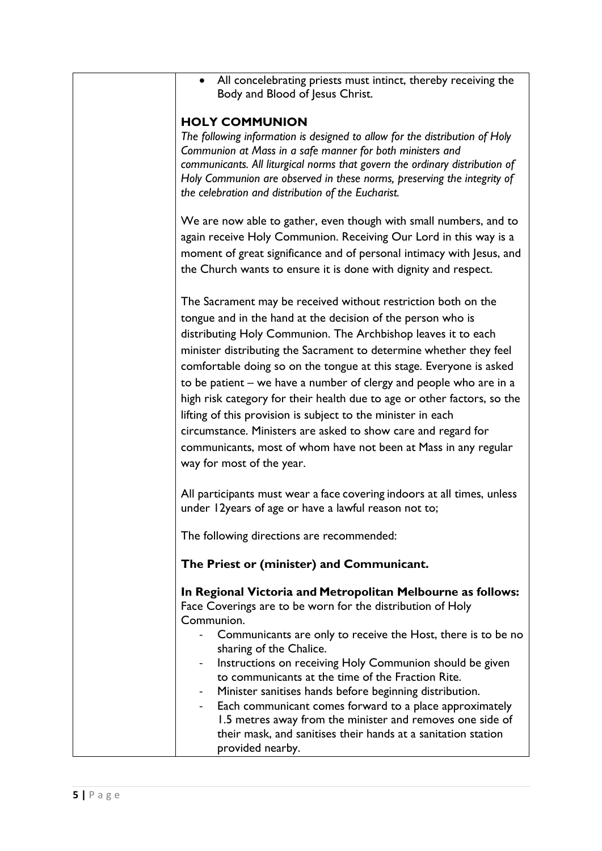| All concelebrating priests must intinct, thereby receiving the<br>Body and Blood of Jesus Christ.                                                                                                                                                                                                                                                                                                                                                                                                                                                                                                                                                                                                                            |
|------------------------------------------------------------------------------------------------------------------------------------------------------------------------------------------------------------------------------------------------------------------------------------------------------------------------------------------------------------------------------------------------------------------------------------------------------------------------------------------------------------------------------------------------------------------------------------------------------------------------------------------------------------------------------------------------------------------------------|
| <b>HOLY COMMUNION</b><br>The following information is designed to allow for the distribution of Holy<br>Communion at Mass in a safe manner for both ministers and<br>communicants. All liturgical norms that govern the ordinary distribution of<br>Holy Communion are observed in these norms, preserving the integrity of<br>the celebration and distribution of the Eucharist.                                                                                                                                                                                                                                                                                                                                            |
| We are now able to gather, even though with small numbers, and to<br>again receive Holy Communion. Receiving Our Lord in this way is a<br>moment of great significance and of personal intimacy with Jesus, and<br>the Church wants to ensure it is done with dignity and respect.                                                                                                                                                                                                                                                                                                                                                                                                                                           |
| The Sacrament may be received without restriction both on the<br>tongue and in the hand at the decision of the person who is<br>distributing Holy Communion. The Archbishop leaves it to each<br>minister distributing the Sacrament to determine whether they feel<br>comfortable doing so on the tongue at this stage. Everyone is asked<br>to be patient – we have a number of clergy and people who are in a<br>high risk category for their health due to age or other factors, so the<br>lifting of this provision is subject to the minister in each<br>circumstance. Ministers are asked to show care and regard for<br>communicants, most of whom have not been at Mass in any regular<br>way for most of the year. |
| All participants must wear a face covering indoors at all times, unless<br>under 12years of age or have a lawful reason not to;                                                                                                                                                                                                                                                                                                                                                                                                                                                                                                                                                                                              |
| The following directions are recommended:                                                                                                                                                                                                                                                                                                                                                                                                                                                                                                                                                                                                                                                                                    |
| The Priest or (minister) and Communicant.                                                                                                                                                                                                                                                                                                                                                                                                                                                                                                                                                                                                                                                                                    |
| In Regional Victoria and Metropolitan Melbourne as follows:<br>Face Coverings are to be worn for the distribution of Holy<br>Communion.<br>Communicants are only to receive the Host, there is to be no<br>sharing of the Chalice.<br>Instructions on receiving Holy Communion should be given<br>to communicants at the time of the Fraction Rite.<br>Minister sanitises hands before beginning distribution.<br>Each communicant comes forward to a place approximately<br>1.5 metres away from the minister and removes one side of<br>their mask, and sanitises their hands at a sanitation station<br>provided nearby.                                                                                                  |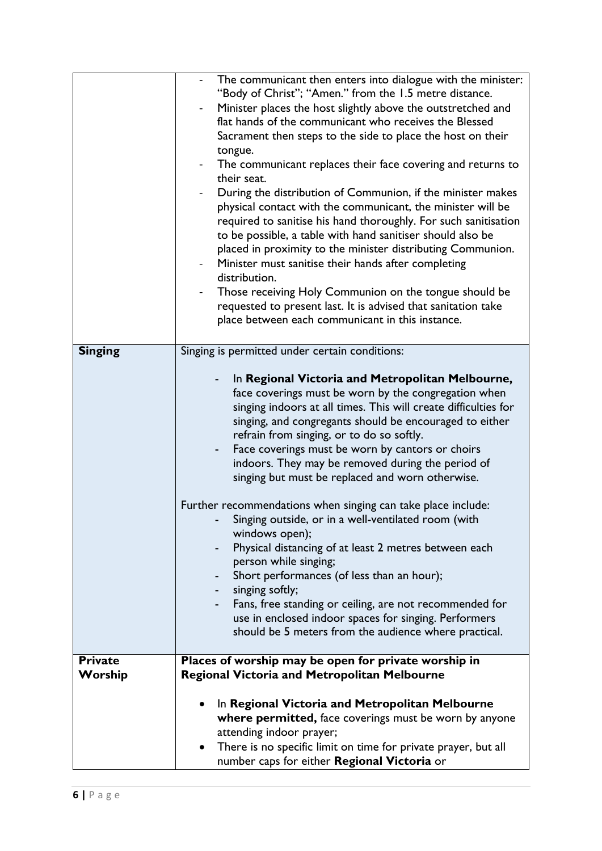|                | The communicant then enters into dialogue with the minister:<br>"Body of Christ"; "Amen." from the 1.5 metre distance.                                                                                                                                                                                                                                                                                                                                                                                                                                                                                                                                                         |
|----------------|--------------------------------------------------------------------------------------------------------------------------------------------------------------------------------------------------------------------------------------------------------------------------------------------------------------------------------------------------------------------------------------------------------------------------------------------------------------------------------------------------------------------------------------------------------------------------------------------------------------------------------------------------------------------------------|
|                |                                                                                                                                                                                                                                                                                                                                                                                                                                                                                                                                                                                                                                                                                |
|                | Minister places the host slightly above the outstretched and<br>flat hands of the communicant who receives the Blessed                                                                                                                                                                                                                                                                                                                                                                                                                                                                                                                                                         |
|                | Sacrament then steps to the side to place the host on their                                                                                                                                                                                                                                                                                                                                                                                                                                                                                                                                                                                                                    |
|                |                                                                                                                                                                                                                                                                                                                                                                                                                                                                                                                                                                                                                                                                                |
|                | tongue.                                                                                                                                                                                                                                                                                                                                                                                                                                                                                                                                                                                                                                                                        |
|                | The communicant replaces their face covering and returns to<br>their seat.                                                                                                                                                                                                                                                                                                                                                                                                                                                                                                                                                                                                     |
|                | During the distribution of Communion, if the minister makes<br>physical contact with the communicant, the minister will be<br>required to sanitise his hand thoroughly. For such sanitisation<br>to be possible, a table with hand sanitiser should also be<br>placed in proximity to the minister distributing Communion.                                                                                                                                                                                                                                                                                                                                                     |
|                | Minister must sanitise their hands after completing<br>distribution.                                                                                                                                                                                                                                                                                                                                                                                                                                                                                                                                                                                                           |
|                | Those receiving Holy Communion on the tongue should be                                                                                                                                                                                                                                                                                                                                                                                                                                                                                                                                                                                                                         |
|                | requested to present last. It is advised that sanitation take<br>place between each communicant in this instance.                                                                                                                                                                                                                                                                                                                                                                                                                                                                                                                                                              |
| <b>Singing</b> | Singing is permitted under certain conditions:                                                                                                                                                                                                                                                                                                                                                                                                                                                                                                                                                                                                                                 |
|                |                                                                                                                                                                                                                                                                                                                                                                                                                                                                                                                                                                                                                                                                                |
|                | In Regional Victoria and Metropolitan Melbourne,<br>face coverings must be worn by the congregation when<br>singing indoors at all times. This will create difficulties for<br>singing, and congregants should be encouraged to either<br>refrain from singing, or to do so softly.<br>Face coverings must be worn by cantors or choirs<br>$\overline{\phantom{0}}$<br>indoors. They may be removed during the period of<br>singing but must be replaced and worn otherwise.<br>Further recommendations when singing can take place include:<br>Singing outside, or in a well-ventilated room (with<br>windows open);<br>Physical distancing of at least 2 metres between each |
|                | person while singing;<br>Short performances (of less than an hour);                                                                                                                                                                                                                                                                                                                                                                                                                                                                                                                                                                                                            |
|                | singing softly;                                                                                                                                                                                                                                                                                                                                                                                                                                                                                                                                                                                                                                                                |
|                | Fans, free standing or ceiling, are not recommended for                                                                                                                                                                                                                                                                                                                                                                                                                                                                                                                                                                                                                        |
|                | use in enclosed indoor spaces for singing. Performers                                                                                                                                                                                                                                                                                                                                                                                                                                                                                                                                                                                                                          |
|                | should be 5 meters from the audience where practical.                                                                                                                                                                                                                                                                                                                                                                                                                                                                                                                                                                                                                          |
|                |                                                                                                                                                                                                                                                                                                                                                                                                                                                                                                                                                                                                                                                                                |
| <b>Private</b> | Places of worship may be open for private worship in                                                                                                                                                                                                                                                                                                                                                                                                                                                                                                                                                                                                                           |
| Worship        | <b>Regional Victoria and Metropolitan Melbourne</b>                                                                                                                                                                                                                                                                                                                                                                                                                                                                                                                                                                                                                            |
|                |                                                                                                                                                                                                                                                                                                                                                                                                                                                                                                                                                                                                                                                                                |
|                | In Regional Victoria and Metropolitan Melbourne<br>where permitted, face coverings must be worn by anyone                                                                                                                                                                                                                                                                                                                                                                                                                                                                                                                                                                      |
|                | attending indoor prayer;                                                                                                                                                                                                                                                                                                                                                                                                                                                                                                                                                                                                                                                       |
|                | There is no specific limit on time for private prayer, but all                                                                                                                                                                                                                                                                                                                                                                                                                                                                                                                                                                                                                 |
|                | $\bullet$<br>number caps for either Regional Victoria or                                                                                                                                                                                                                                                                                                                                                                                                                                                                                                                                                                                                                       |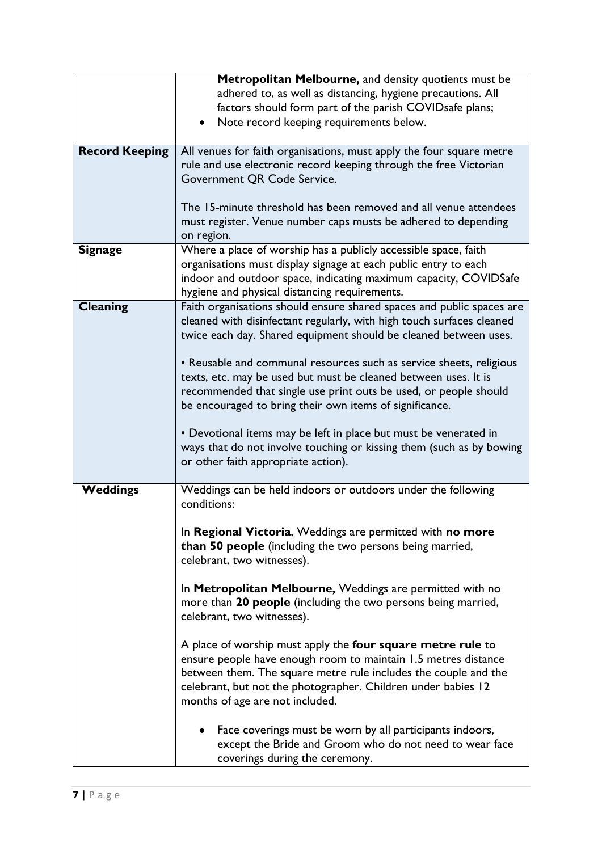|                       | Metropolitan Melbourne, and density quotients must be                 |
|-----------------------|-----------------------------------------------------------------------|
|                       | adhered to, as well as distancing, hygiene precautions. All           |
|                       | factors should form part of the parish COVIDsafe plans;               |
|                       | Note record keeping requirements below.                               |
|                       |                                                                       |
| <b>Record Keeping</b> | All venues for faith organisations, must apply the four square metre  |
|                       | rule and use electronic record keeping through the free Victorian     |
|                       | Government QR Code Service.                                           |
|                       |                                                                       |
|                       | The 15-minute threshold has been removed and all venue attendees      |
|                       | must register. Venue number caps musts be adhered to depending        |
|                       | on region.                                                            |
| <b>Signage</b>        | Where a place of worship has a publicly accessible space, faith       |
|                       | organisations must display signage at each public entry to each       |
|                       | indoor and outdoor space, indicating maximum capacity, COVIDSafe      |
|                       | hygiene and physical distancing requirements.                         |
| <b>Cleaning</b>       | Faith organisations should ensure shared spaces and public spaces are |
|                       | cleaned with disinfectant regularly, with high touch surfaces cleaned |
|                       | twice each day. Shared equipment should be cleaned between uses.      |
|                       |                                                                       |
|                       | • Reusable and communal resources such as service sheets, religious   |
|                       | texts, etc. may be used but must be cleaned between uses. It is       |
|                       | recommended that single use print outs be used, or people should      |
|                       | be encouraged to bring their own items of significance.               |
|                       |                                                                       |
|                       | • Devotional items may be left in place but must be venerated in      |
|                       | ways that do not involve touching or kissing them (such as by bowing  |
|                       | or other faith appropriate action).                                   |
|                       |                                                                       |
| Weddings              | Weddings can be held indoors or outdoors under the following          |
|                       | conditions:                                                           |
|                       |                                                                       |
|                       | In Regional Victoria, Weddings are permitted with no more             |
|                       | than 50 people (including the two persons being married,              |
|                       | celebrant, two witnesses).                                            |
|                       |                                                                       |
|                       | In Metropolitan Melbourne, Weddings are permitted with no             |
|                       | more than 20 people (including the two persons being married,         |
|                       | celebrant, two witnesses).                                            |
|                       |                                                                       |
|                       | A place of worship must apply the four square metre rule to           |
|                       | ensure people have enough room to maintain 1.5 metres distance        |
|                       | between them. The square metre rule includes the couple and the       |
|                       | celebrant, but not the photographer. Children under babies 12         |
|                       | months of age are not included.                                       |
|                       |                                                                       |
|                       | Face coverings must be worn by all participants indoors,              |
|                       | except the Bride and Groom who do not need to wear face               |
|                       | coverings during the ceremony.                                        |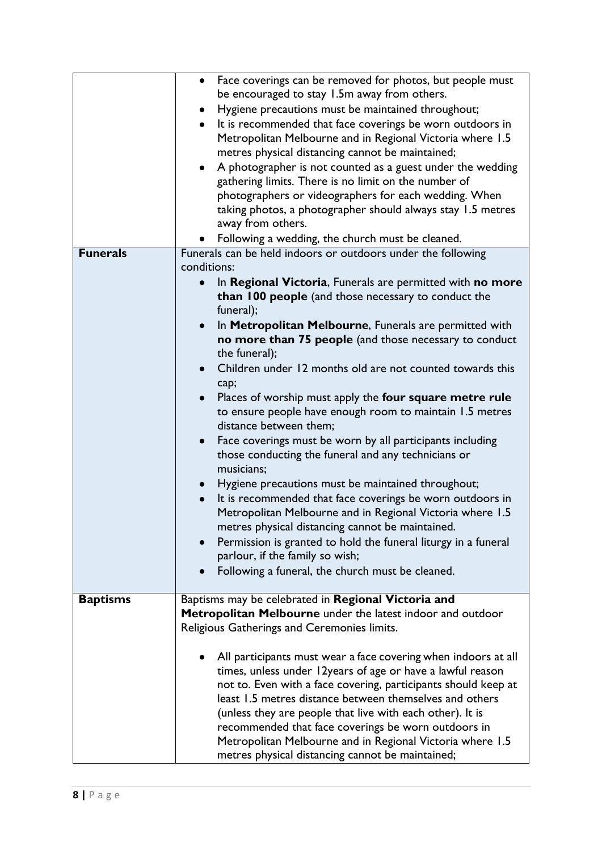|                 | Face coverings can be removed for photos, but people must                                                     |
|-----------------|---------------------------------------------------------------------------------------------------------------|
|                 | be encouraged to stay 1.5m away from others.                                                                  |
|                 | Hygiene precautions must be maintained throughout;                                                            |
|                 | It is recommended that face coverings be worn outdoors in                                                     |
|                 | Metropolitan Melbourne and in Regional Victoria where 1.5                                                     |
|                 | metres physical distancing cannot be maintained;                                                              |
|                 | A photographer is not counted as a guest under the wedding<br>$\bullet$                                       |
|                 | gathering limits. There is no limit on the number of                                                          |
|                 | photographers or videographers for each wedding. When                                                         |
|                 | taking photos, a photographer should always stay 1.5 metres                                                   |
|                 | away from others.                                                                                             |
|                 | Following a wedding, the church must be cleaned.                                                              |
| <b>Funerals</b> | Funerals can be held indoors or outdoors under the following                                                  |
|                 | conditions:                                                                                                   |
|                 | In Regional Victoria, Funerals are permitted with no more                                                     |
|                 | than 100 people (and those necessary to conduct the                                                           |
|                 | funeral);                                                                                                     |
|                 | In Metropolitan Melbourne, Funerals are permitted with                                                        |
|                 | no more than 75 people (and those necessary to conduct                                                        |
|                 | the funeral);                                                                                                 |
|                 | Children under 12 months old are not counted towards this                                                     |
|                 | cap;                                                                                                          |
|                 | Places of worship must apply the four square metre rule                                                       |
|                 | to ensure people have enough room to maintain 1.5 metres                                                      |
|                 | distance between them;                                                                                        |
|                 | Face coverings must be worn by all participants including                                                     |
|                 | those conducting the funeral and any technicians or                                                           |
|                 | musicians;                                                                                                    |
|                 | Hygiene precautions must be maintained throughout;<br>$\bullet$                                               |
|                 | It is recommended that face coverings be worn outdoors in<br>$\bullet$                                        |
|                 | Metropolitan Melbourne and in Regional Victoria where 1.5<br>metres physical distancing cannot be maintained. |
|                 |                                                                                                               |
|                 | Permission is granted to hold the funeral liturgy in a funeral<br>parlour, if the family so wish;             |
|                 |                                                                                                               |
|                 | Following a funeral, the church must be cleaned.                                                              |
| <b>Baptisms</b> | Baptisms may be celebrated in Regional Victoria and                                                           |
|                 | Metropolitan Melbourne under the latest indoor and outdoor                                                    |
|                 | Religious Gatherings and Ceremonies limits.                                                                   |
|                 |                                                                                                               |
|                 | All participants must wear a face covering when indoors at all                                                |
|                 | times, unless under 12years of age or have a lawful reason                                                    |
|                 | not to. Even with a face covering, participants should keep at                                                |
|                 | least 1.5 metres distance between themselves and others                                                       |
|                 | (unless they are people that live with each other). It is                                                     |
|                 | recommended that face coverings be worn outdoors in                                                           |
|                 | Metropolitan Melbourne and in Regional Victoria where 1.5                                                     |
|                 | metres physical distancing cannot be maintained;                                                              |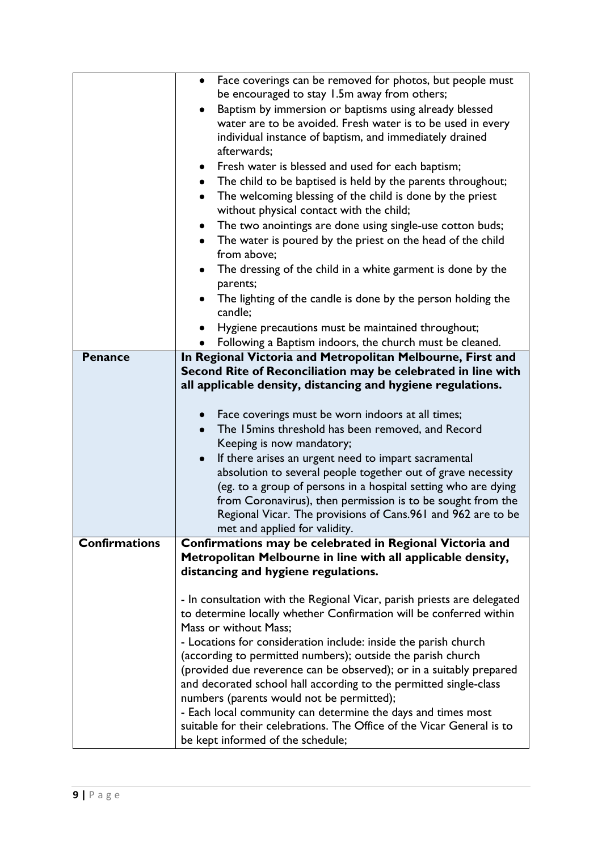| Face coverings can be removed for photos, but people must<br>$\bullet$<br>be encouraged to stay 1.5m away from others;<br>Baptism by immersion or baptisms using already blessed<br>water are to be avoided. Fresh water is to be used in every<br>individual instance of baptism, and immediately drained<br>afterwards;<br>Fresh water is blessed and used for each baptism;<br>٠<br>• The child to be baptised is held by the parents throughout;<br>The welcoming blessing of the child is done by the priest<br>$\bullet$<br>without physical contact with the child;<br>The two anointings are done using single-use cotton buds;<br>The water is poured by the priest on the head of the child<br>from above:<br>The dressing of the child in a white garment is done by the<br>$\bullet$<br>parents; |
|--------------------------------------------------------------------------------------------------------------------------------------------------------------------------------------------------------------------------------------------------------------------------------------------------------------------------------------------------------------------------------------------------------------------------------------------------------------------------------------------------------------------------------------------------------------------------------------------------------------------------------------------------------------------------------------------------------------------------------------------------------------------------------------------------------------|
| The lighting of the candle is done by the person holding the<br>candle;<br>Hygiene precautions must be maintained throughout;                                                                                                                                                                                                                                                                                                                                                                                                                                                                                                                                                                                                                                                                                |
| Following a Baptism indoors, the church must be cleaned.<br>٠                                                                                                                                                                                                                                                                                                                                                                                                                                                                                                                                                                                                                                                                                                                                                |
| In Regional Victoria and Metropolitan Melbourne, First and<br>Second Rite of Reconciliation may be celebrated in line with<br>all applicable density, distancing and hygiene regulations.<br>Face coverings must be worn indoors at all times;<br>The 15 mins threshold has been removed, and Record<br>Keeping is now mandatory;<br>If there arises an urgent need to impart sacramental<br>$\bullet$<br>absolution to several people together out of grave necessity<br>(eg. to a group of persons in a hospital setting who are dying<br>from Coronavirus), then permission is to be sought from the<br>Regional Vicar. The provisions of Cans.961 and 962 are to be<br>met and applied for validity.<br>Confirmations may be celebrated in Regional Victoria and                                         |
|                                                                                                                                                                                                                                                                                                                                                                                                                                                                                                                                                                                                                                                                                                                                                                                                              |
| Metropolitan Melbourne in line with all applicable density,<br>distancing and hygiene regulations.<br>- In consultation with the Regional Vicar, parish priests are delegated                                                                                                                                                                                                                                                                                                                                                                                                                                                                                                                                                                                                                                |
|                                                                                                                                                                                                                                                                                                                                                                                                                                                                                                                                                                                                                                                                                                                                                                                                              |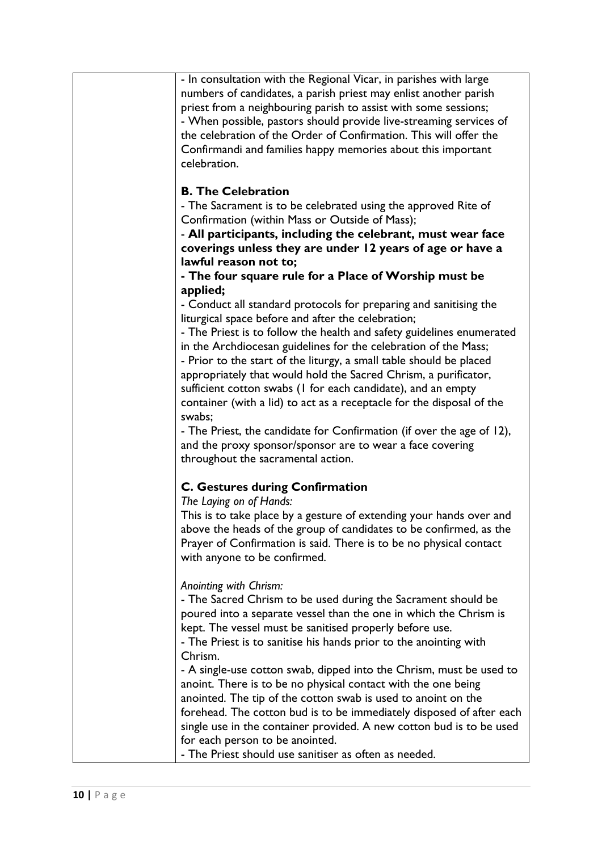| - In consultation with the Regional Vicar, in parishes with large<br>numbers of candidates, a parish priest may enlist another parish   |
|-----------------------------------------------------------------------------------------------------------------------------------------|
| priest from a neighbouring parish to assist with some sessions;                                                                         |
| - When possible, pastors should provide live-streaming services of<br>the celebration of the Order of Confirmation. This will offer the |
| Confirmandi and families happy memories about this important                                                                            |
| celebration.                                                                                                                            |
| <b>B. The Celebration</b>                                                                                                               |
| - The Sacrament is to be celebrated using the approved Rite of                                                                          |
| Confirmation (within Mass or Outside of Mass);                                                                                          |
| - All participants, including the celebrant, must wear face<br>coverings unless they are under 12 years of age or have a                |
| lawful reason not to;                                                                                                                   |
| - The four square rule for a Place of Worship must be                                                                                   |
| applied;                                                                                                                                |
| - Conduct all standard protocols for preparing and sanitising the<br>liturgical space before and after the celebration;                 |
| - The Priest is to follow the health and safety guidelines enumerated                                                                   |
| in the Archdiocesan guidelines for the celebration of the Mass;                                                                         |
| - Prior to the start of the liturgy, a small table should be placed                                                                     |
| appropriately that would hold the Sacred Chrism, a purificator,                                                                         |
| sufficient cotton swabs (I for each candidate), and an empty                                                                            |
| container (with a lid) to act as a receptacle for the disposal of the<br>swabs;                                                         |
| - The Priest, the candidate for Confirmation (if over the age of 12),                                                                   |
| and the proxy sponsor/sponsor are to wear a face covering                                                                               |
| throughout the sacramental action.                                                                                                      |
| <b>C. Gestures during Confirmation</b>                                                                                                  |
| The Laying on of Hands:<br>This is to take place by a gesture of extending your hands over and                                          |
| above the heads of the group of candidates to be confirmed, as the                                                                      |
| Prayer of Confirmation is said. There is to be no physical contact                                                                      |
| with anyone to be confirmed.                                                                                                            |
| Anointing with Chrism:                                                                                                                  |
| - The Sacred Chrism to be used during the Sacrament should be                                                                           |
| poured into a separate vessel than the one in which the Chrism is<br>kept. The vessel must be sanitised properly before use.            |
| - The Priest is to sanitise his hands prior to the anointing with                                                                       |
| Chrism.                                                                                                                                 |
| - A single-use cotton swab, dipped into the Chrism, must be used to                                                                     |
| anoint. There is to be no physical contact with the one being                                                                           |
| anointed. The tip of the cotton swab is used to anoint on the                                                                           |
| forehead. The cotton bud is to be immediately disposed of after each                                                                    |
| single use in the container provided. A new cotton bud is to be used                                                                    |
| for each person to be anointed.                                                                                                         |
| - The Priest should use sanitiser as often as needed.                                                                                   |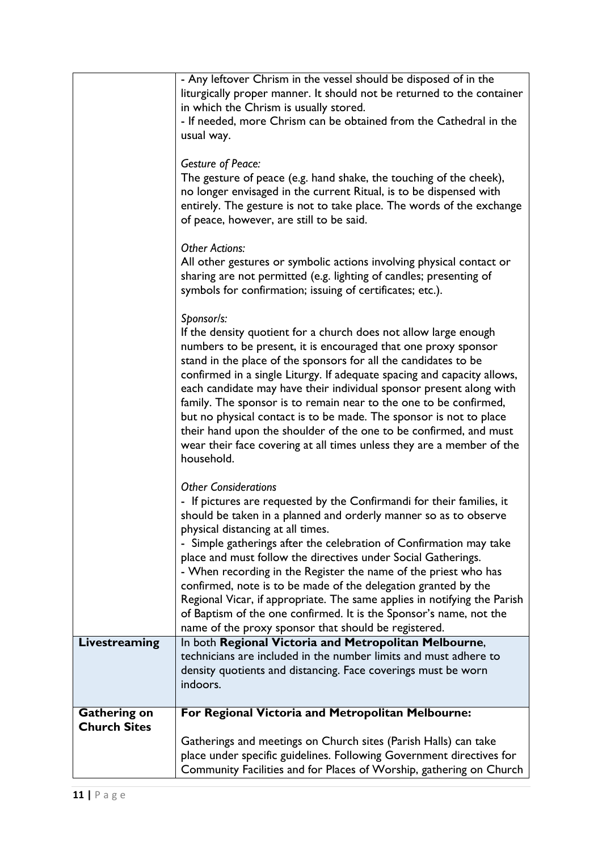|                     | - Any leftover Chrism in the vessel should be disposed of in the                                                                            |
|---------------------|---------------------------------------------------------------------------------------------------------------------------------------------|
|                     | liturgically proper manner. It should not be returned to the container                                                                      |
|                     | in which the Chrism is usually stored.                                                                                                      |
|                     | - If needed, more Chrism can be obtained from the Cathedral in the<br>usual way.                                                            |
|                     |                                                                                                                                             |
|                     | <b>Gesture of Peace:</b>                                                                                                                    |
|                     | The gesture of peace (e.g. hand shake, the touching of the cheek),                                                                          |
|                     | no longer envisaged in the current Ritual, is to be dispensed with                                                                          |
|                     | entirely. The gesture is not to take place. The words of the exchange                                                                       |
|                     | of peace, however, are still to be said.                                                                                                    |
|                     | <b>Other Actions:</b>                                                                                                                       |
|                     | All other gestures or symbolic actions involving physical contact or                                                                        |
|                     | sharing are not permitted (e.g. lighting of candles; presenting of                                                                          |
|                     | symbols for confirmation; issuing of certificates; etc.).                                                                                   |
|                     | Sponsor/s:                                                                                                                                  |
|                     | If the density quotient for a church does not allow large enough                                                                            |
|                     | numbers to be present, it is encouraged that one proxy sponsor                                                                              |
|                     | stand in the place of the sponsors for all the candidates to be                                                                             |
|                     | confirmed in a single Liturgy. If adequate spacing and capacity allows,                                                                     |
|                     | each candidate may have their individual sponsor present along with                                                                         |
|                     | family. The sponsor is to remain near to the one to be confirmed,<br>but no physical contact is to be made. The sponsor is not to place     |
|                     | their hand upon the shoulder of the one to be confirmed, and must                                                                           |
|                     | wear their face covering at all times unless they are a member of the                                                                       |
|                     | household.                                                                                                                                  |
|                     |                                                                                                                                             |
|                     | <b>Other Considerations</b><br>- If pictures are requested by the Confirmandi for their families, it                                        |
|                     | should be taken in a planned and orderly manner so as to observe                                                                            |
|                     | physical distancing at all times.                                                                                                           |
|                     | - Simple gatherings after the celebration of Confirmation may take                                                                          |
|                     | place and must follow the directives under Social Gatherings.                                                                               |
|                     | - When recording in the Register the name of the priest who has                                                                             |
|                     | confirmed, note is to be made of the delegation granted by the<br>Regional Vicar, if appropriate. The same applies in notifying the Parish  |
|                     | of Baptism of the one confirmed. It is the Sponsor's name, not the                                                                          |
|                     | name of the proxy sponsor that should be registered.                                                                                        |
| Livestreaming       | In both Regional Victoria and Metropolitan Melbourne,                                                                                       |
|                     | technicians are included in the number limits and must adhere to                                                                            |
|                     | density quotients and distancing. Face coverings must be worn<br>indoors.                                                                   |
|                     |                                                                                                                                             |
| <b>Gathering on</b> | For Regional Victoria and Metropolitan Melbourne:                                                                                           |
| <b>Church Sites</b> |                                                                                                                                             |
|                     | Gatherings and meetings on Church sites (Parish Halls) can take                                                                             |
|                     | place under specific guidelines. Following Government directives for<br>Community Facilities and for Places of Worship, gathering on Church |
|                     |                                                                                                                                             |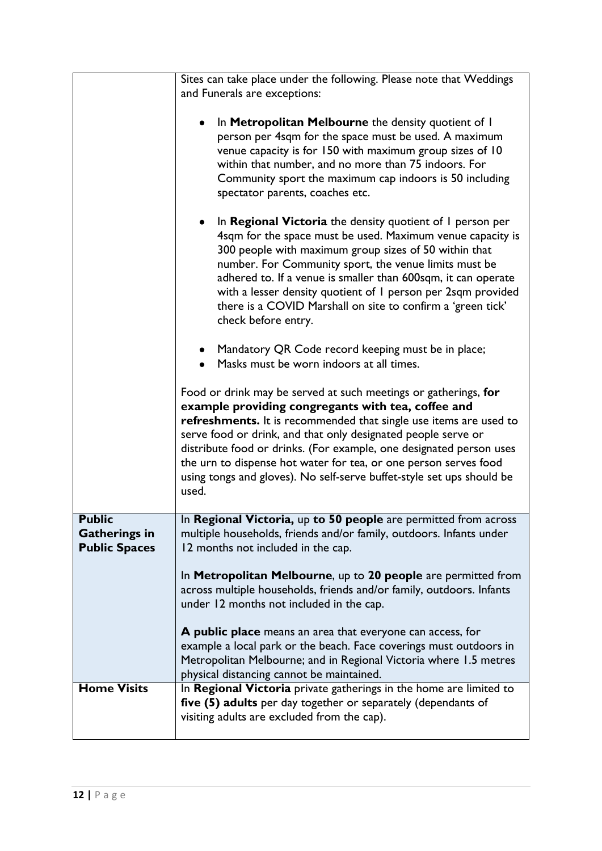|                                                               | Sites can take place under the following. Please note that Weddings<br>and Funerals are exceptions:                                                                                                                                                                                                                                                                                                                                                                                      |
|---------------------------------------------------------------|------------------------------------------------------------------------------------------------------------------------------------------------------------------------------------------------------------------------------------------------------------------------------------------------------------------------------------------------------------------------------------------------------------------------------------------------------------------------------------------|
|                                                               | In Metropolitan Melbourne the density quotient of I<br>person per 4sqm for the space must be used. A maximum<br>venue capacity is for 150 with maximum group sizes of 10<br>within that number, and no more than 75 indoors. For<br>Community sport the maximum cap indoors is 50 including<br>spectator parents, coaches etc.                                                                                                                                                           |
|                                                               | In Regional Victoria the density quotient of I person per<br>4sqm for the space must be used. Maximum venue capacity is<br>300 people with maximum group sizes of 50 within that<br>number. For Community sport, the venue limits must be<br>adhered to. If a venue is smaller than 600sqm, it can operate<br>with a lesser density quotient of I person per 2sqm provided<br>there is a COVID Marshall on site to confirm a 'green tick'<br>check before entry.                         |
|                                                               | • Mandatory QR Code record keeping must be in place;<br>Masks must be worn indoors at all times.                                                                                                                                                                                                                                                                                                                                                                                         |
|                                                               | Food or drink may be served at such meetings or gatherings, for<br>example providing congregants with tea, coffee and<br>refreshments. It is recommended that single use items are used to<br>serve food or drink, and that only designated people serve or<br>distribute food or drinks. (For example, one designated person uses<br>the urn to dispense hot water for tea, or one person serves food<br>using tongs and gloves). No self-serve buffet-style set ups should be<br>used. |
| <b>Public</b><br><b>Gatherings in</b><br><b>Public Spaces</b> | In Regional Victoria, up to 50 people are permitted from across<br>multiple households, friends and/or family, outdoors. Infants under<br>12 months not included in the cap.                                                                                                                                                                                                                                                                                                             |
|                                                               | In Metropolitan Melbourne, up to 20 people are permitted from<br>across multiple households, friends and/or family, outdoors. Infants<br>under 12 months not included in the cap.                                                                                                                                                                                                                                                                                                        |
|                                                               | A public place means an area that everyone can access, for<br>example a local park or the beach. Face coverings must outdoors in<br>Metropolitan Melbourne; and in Regional Victoria where 1.5 metres<br>physical distancing cannot be maintained.                                                                                                                                                                                                                                       |
| <b>Home Visits</b>                                            | In Regional Victoria private gatherings in the home are limited to<br>five (5) adults per day together or separately (dependants of<br>visiting adults are excluded from the cap).                                                                                                                                                                                                                                                                                                       |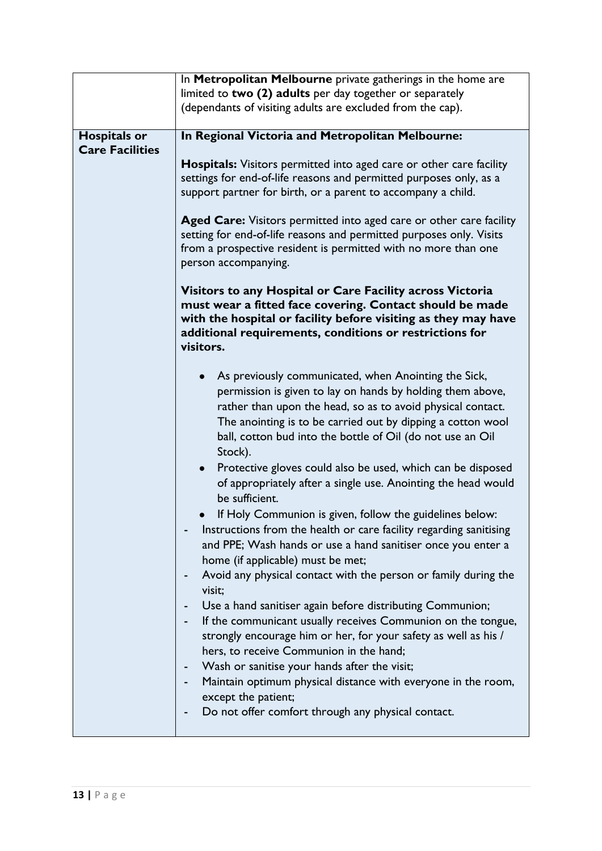|                        | In Metropolitan Melbourne private gatherings in the home are                                                          |
|------------------------|-----------------------------------------------------------------------------------------------------------------------|
|                        | limited to two (2) adults per day together or separately                                                              |
|                        | (dependants of visiting adults are excluded from the cap).                                                            |
|                        |                                                                                                                       |
| <b>Hospitals or</b>    | In Regional Victoria and Metropolitan Melbourne:                                                                      |
| <b>Care Facilities</b> |                                                                                                                       |
|                        | <b>Hospitals:</b> Visitors permitted into aged care or other care facility                                            |
|                        | settings for end-of-life reasons and permitted purposes only, as a                                                    |
|                        | support partner for birth, or a parent to accompany a child.                                                          |
|                        |                                                                                                                       |
|                        | Aged Care: Visitors permitted into aged care or other care facility                                                   |
|                        | setting for end-of-life reasons and permitted purposes only. Visits                                                   |
|                        | from a prospective resident is permitted with no more than one                                                        |
|                        | person accompanying.                                                                                                  |
|                        |                                                                                                                       |
|                        | Visitors to any Hospital or Care Facility across Victoria<br>must wear a fitted face covering. Contact should be made |
|                        | with the hospital or facility before visiting as they may have                                                        |
|                        | additional requirements, conditions or restrictions for                                                               |
|                        | visitors.                                                                                                             |
|                        |                                                                                                                       |
|                        | As previously communicated, when Anointing the Sick,                                                                  |
|                        | permission is given to lay on hands by holding them above,                                                            |
|                        | rather than upon the head, so as to avoid physical contact.                                                           |
|                        | The anointing is to be carried out by dipping a cotton wool                                                           |
|                        | ball, cotton bud into the bottle of Oil (do not use an Oil                                                            |
|                        | Stock).                                                                                                               |
|                        | Protective gloves could also be used, which can be disposed<br>$\bullet$                                              |
|                        | of appropriately after a single use. Anointing the head would                                                         |
|                        | be sufficient.                                                                                                        |
|                        | If Holy Communion is given, follow the guidelines below:                                                              |
|                        | Instructions from the health or care facility regarding sanitising                                                    |
|                        | and PPE; Wash hands or use a hand sanitiser once you enter a                                                          |
|                        | home (if applicable) must be met;                                                                                     |
|                        | Avoid any physical contact with the person or family during the<br>-                                                  |
|                        | visit;                                                                                                                |
|                        | Use a hand sanitiser again before distributing Communion;                                                             |
|                        | If the communicant usually receives Communion on the tongue,                                                          |
|                        | strongly encourage him or her, for your safety as well as his /                                                       |
|                        | hers, to receive Communion in the hand;                                                                               |
|                        | Wash or sanitise your hands after the visit;                                                                          |
|                        | Maintain optimum physical distance with everyone in the room,                                                         |
|                        | except the patient;                                                                                                   |
|                        | Do not offer comfort through any physical contact.<br>-                                                               |
|                        |                                                                                                                       |
|                        |                                                                                                                       |